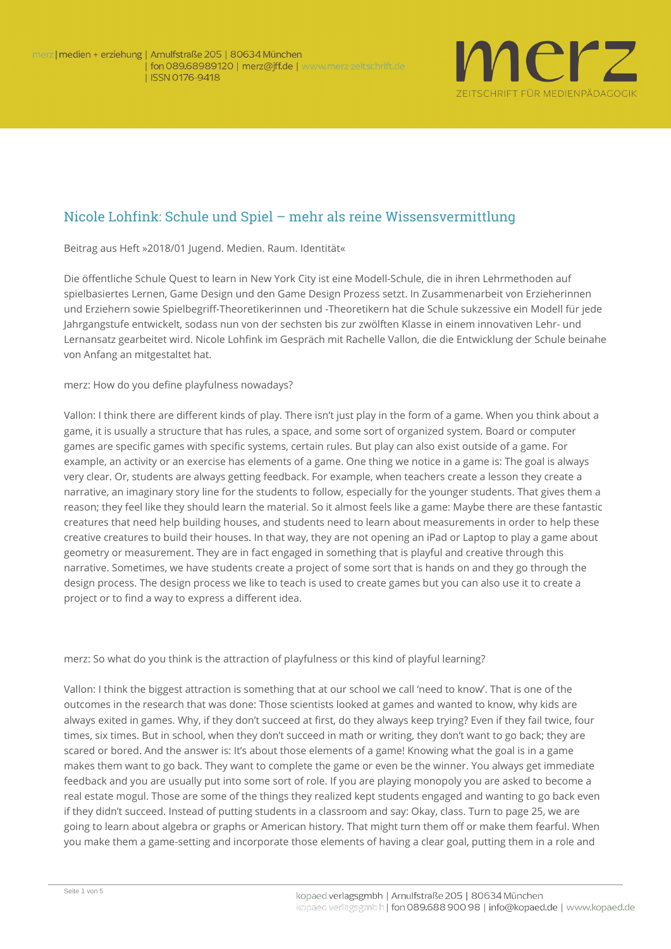

## Nicole Lohfink: Schule und Spiel – mehr als reine Wissensvermittlung

**Beitrag aus Heft »2018/01 Jugend. Medien. Raum. Identität«**

Die öffentliche Schule *Quest to learn* in New York City ist eine Modell-Schule, die in ihren Lehrmethoden auf spielbasiertes Lernen, Game Design und den Game Design Prozess setzt. In Zusammenarbeit von Erzieherinnen und Erziehern sowie Spielbegriff-Theoretikerinnen und -Theoretikern hat die Schule sukzessive ein Modell für jede Jahrgangstufe entwickelt, sodass nun von der sechsten bis zur zwölften Klasse in einem innovativen Lehr- und Lernansatz gearbeitet wird. Nicole Lohfink im Gespräch mit Rachelle Vallon, die die Entwicklung der Schule beinahe von Anfang an mitgestaltet hat.

**merz**: How do you define playfulness nowadays?

**Vallon:** I think there are different kinds of play. There isn't just play in the form of a game. When you think about a game, it is usually a structure that has rules, a space, and some sort of organized system. Board or computer games are specific games with specific systems, certain rules. But play can also exist outside of a game. For example, an activity or an exercise has elements of a game. One thing we notice in a game is: The goal is always very clear. Or, students are always getting feedback. For example, when teachers create a lesson they create a narrative, an imaginary story line for the students to follow, especially for the younger students. That gives them a reason; they feel like they should learn the material. So it almost feels like a game: Maybe there are these fantastic creatures that need help building houses, and students need to learn about measurements in order to help these creative creatures to build their houses. In that way, they are not opening an *iPad* or Laptop to play a game about geometry or measurement. They are in fact engaged in something that is playful and creative through this narrative. Sometimes, we have students create a project of some sort that is hands on and they go through the design process. The design process we like to teach is used to create games but you can also use it to create a project or to find a way to express a different idea.

**merz**: So what do you think is the attraction of playfulness or this kind of playful learning?

**Vallon:** I think the biggest attraction is something that at our school we call 'need to know'. That is one of the outcomes in the research that was done: Those scientists looked at games and wanted to know, why kids are always exited in games. Why, if they don't succeed at first, do they always keep trying? Even if they fail twice, four times, six times. But in school, when they don't succeed in math or writing, they don't want to go back; they are scared or bored. And the answer is: It's about those elements of a game! Knowing what the goal is in a game makes them want to go back. They want to complete the game or even be the winner. You always get immediate feedback and you are usually put into some sort of role. If you are playing monopoly you are asked to become a real estate mogul. Those are some of the things they realized kept students engaged and wanting to go back even if they didn't succeed. Instead of putting students in a classroom and say: Okay, class. Turn to page 25, we are going to learn about algebra or graphs or American history. That might turn them off or make them fearful. When you make them a game-setting and incorporate those elements of having a clear goal, putting them in a role and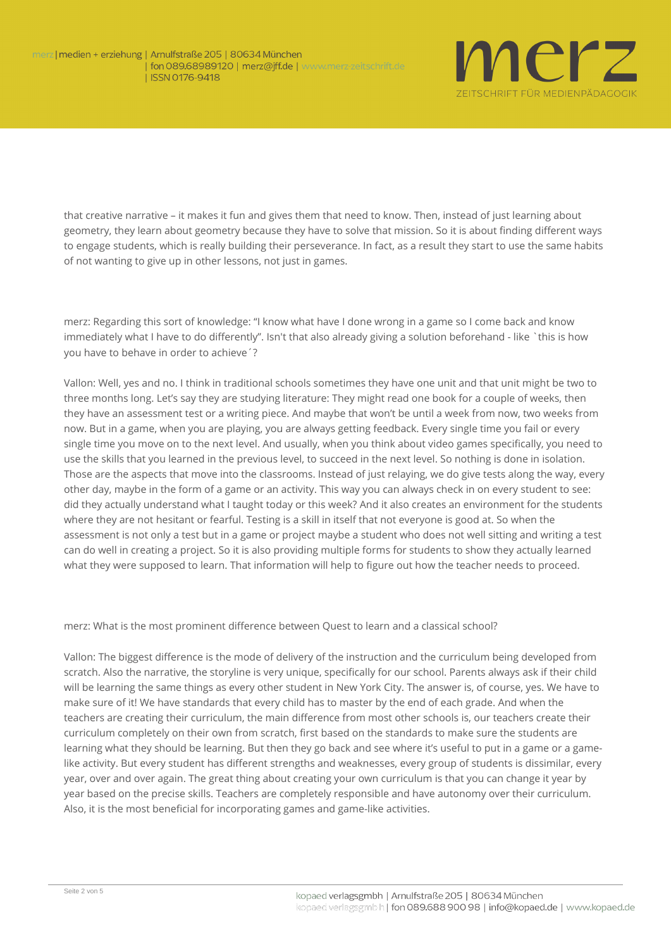

that creative narrative – it makes it fun and gives them that need to know. Then, instead of just learning about geometry, they learn about geometry because they have to solve that mission. So it is about finding different ways to engage students, which is really building their perseverance. In fact, as a result they start to use the same habits of not wanting to give up in other lessons, not just in games.

**merz**: Regarding this sort of knowledge: "I know what have I done wrong in a game so I come back and know immediately what I have to do differently". Isn't that also already giving a solution beforehand - like `this is how you have to behave in order to achieve´?

**Vallon:** Well, yes and no. I think in traditional schools sometimes they have one unit and that unit might be two to three months long. Let's say they are studying literature: They might read one book for a couple of weeks, then they have an assessment test or a writing piece. And maybe that won't be until a week from now, two weeks from now. But in a game, when you are playing, you are always getting feedback. Every single time you fail or every single time you move on to the next level. And usually, when you think about video games specifically, you need to use the skills that you learned in the previous level, to succeed in the next level. So nothing is done in isolation. Those are the aspects that move into the classrooms. Instead of just relaying, we do give tests along the way, every other day, maybe in the form of a game or an activity. This way you can always check in on every student to see: did they actually understand what I taught today or this week? And it also creates an environment for the students where they are not hesitant or fearful. Testing is a skill in itself that not everyone is good at. So when the assessment is not only a test but in a game or project maybe a student who does not well sitting and writing a test can do well in creating a project. So it is also providing multiple forms for students to show they actually learned what they were supposed to learn. That information will help to figure out how the teacher needs to proceed.

**merz**: What is the most prominent difference between Quest to learn and a classical school?

**Vallon:** The biggest difference is the mode of delivery of the instruction and the curriculum being developed from scratch. Also the narrative, the storyline is very unique, specifically for our school. Parents always ask if their child will be learning the same things as every other student in New York City. The answer is, of course, yes. We have to make sure of it! We have standards that every child has to master by the end of each grade. And when the teachers are creating their curriculum, the main difference from most other schools is, our teachers create their curriculum completely on their own from scratch, first based on the standards to make sure the students are learning what they should be learning. But then they go back and see where it's useful to put in a game or a gamelike activity. But every student has different strengths and weaknesses, every group of students is dissimilar, every year, over and over again. The great thing about creating your own curriculum is that you can change it year by year based on the precise skills. Teachers are completely responsible and have autonomy over their curriculum. Also, it is the most beneficial for incorporating games and game-like activities.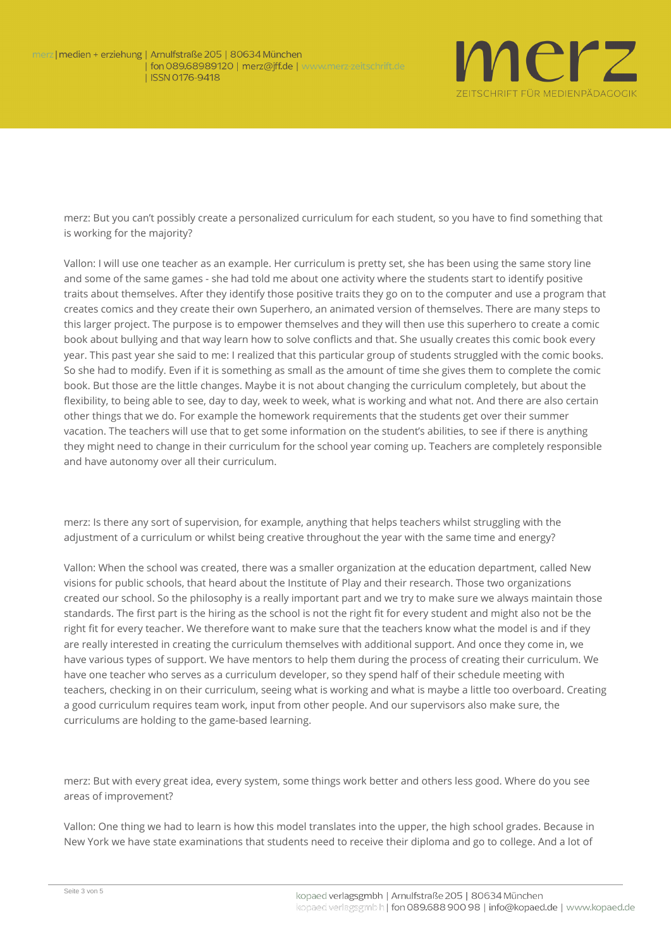

**merz**: But you can't possibly create a personalized curriculum for each student, so you have to find something that is working for the majority?

**Vallon:** I will use one teacher as an example. Her curriculum is pretty set, she has been using the same story line and some of the same games - she had told me about one activity where the students start to identify positive traits about themselves. After they identify those positive traits they go on to the computer and use a program that creates comics and they create their own Superhero, an animated version of themselves. There are many steps to this larger project. The purpose is to empower themselves and they will then use this superhero to create a comic book about bullying and that way learn how to solve conflicts and that. She usually creates this comic book every year. This past year she said to me: I realized that this particular group of students struggled with the comic books. So she had to modify. Even if it is something as small as the amount of time she gives them to complete the comic book. But those are the little changes. Maybe it is not about changing the curriculum completely, but about the flexibility, to being able to see, day to day, week to week, what is working and what not. And there are also certain other things that we do. For example the homework requirements that the students get over their summer vacation. The teachers will use that to get some information on the student's abilities, to see if there is anything they might need to change in their curriculum for the school year coming up. Teachers are completely responsible and have autonomy over all their curriculum.

**merz**: Is there any sort of supervision, for example, anything that helps teachers whilst struggling with the adjustment of a curriculum or whilst being creative throughout the year with the same time and energy?

**Vallon**: When the school was created, there was a smaller organization at the education department, called *New visions for public schools*, that heard about the *Institute of Play* and their research. Those two organizations created our school. So the philosophy is a really important part and we try to make sure we always maintain those standards. The first part is the hiring as the school is not the right fit for every student and might also not be the right fit for every teacher. We therefore want to make sure that the teachers know what the model is and if they are really interested in creating the curriculum themselves with additional support. And once they come in, we have various types of support. We have mentors to help them during the process of creating their curriculum. We have one teacher who serves as a curriculum developer, so they spend half of their schedule meeting with teachers, checking in on their curriculum, seeing what is working and what is maybe a little too overboard. Creating a good curriculum requires team work, input from other people. And our supervisors also make sure, the curriculums are holding to the game-based learning.

**merz**: But with every great idea, every system, some things work better and others less good. Where do you see areas of improvement?

**Vallon**: One thing we had to learn is how this model translates into the upper, the high school grades. Because in New York we have state examinations that students need to receive their diploma and go to college. And a lot of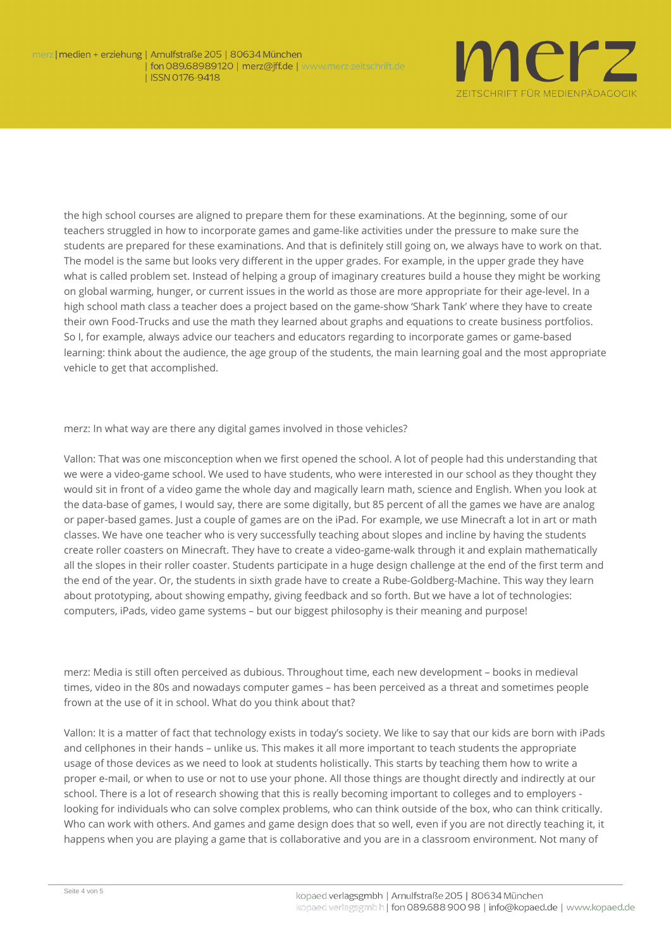

the high school courses are aligned to prepare them for these examinations. At the beginning, some of our teachers struggled in how to incorporate games and game-like activities under the pressure to make sure the students are prepared for these examinations. And that is definitely still going on, we always have to work on that. The model is the same but looks very different in the upper grades. For example, in the upper grade they have what is called problem set. Instead of helping a group of imaginary creatures build a house they might be working on global warming, hunger, or current issues in the world as those are more appropriate for their age-level. In a high school math class a teacher does a project based on the game-show 'Shark Tank' where they have to create their own Food-Trucks and use the math they learned about graphs and equations to create business portfolios. So I, for example, always advice our teachers and educators regarding to incorporate games or game-based learning: think about the audience, the age group of the students, the main learning goal and the most appropriate vehicle to get that accomplished.

## **merz**: In what way are there any digital games involved in those vehicles?

**Vallon**: That was one misconception when we first opened the school. A lot of people had this understanding that we were a video-game school. We used to have students, who were interested in our school as they thought they would sit in front of a video game the whole day and magically learn math, science and English. When you look at the data-base of games, I would say, there are some digitally, but 85 percent of all the games we have are analog or paper-based games. Just a couple of games are on the *iPad*. For example, we use *Minecraft* a lot in art or math classes. We have one teacher who is very successfully teaching about slopes and incline by having the students create roller coasters on *Minecraft*. They have to create a video-game-walk through it and explain mathematically all the slopes in their roller coaster. Students participate in a huge design challenge at the end of the first term and the end of the year. Or, the students in sixth grade have to create a Rube-Goldberg-Machine. This way they learn about prototyping, about showing empathy, giving feedback and so forth. But we have a lot of technologies: computers, *iPads*, video game systems – but our biggest philosophy is their meaning and purpose!

**merz**: Media is still often perceived as dubious. Throughout time, each new development – books in medieval times, video in the 80s and nowadays computer games – has been perceived as a threat and sometimes people frown at the use of it in school. What do you think about that?

**Vallon**: It is a matter of fact that technology exists in today's society. We like to say that our kids are born with *iPads* and cellphones in their hands – unlike us. This makes it all more important to teach students the appropriate usage of those devices as we need to look at students holistically. This starts by teaching them how to write a proper e-mail, or when to use or not to use your phone. All those things are thought directly and indirectly at our school. There is a lot of research showing that this is really becoming important to colleges and to employers looking for individuals who can solve complex problems, who can think outside of the box, who can think critically. Who can work with others. And games and game design does that so well, even if you are not directly teaching it, it happens when you are playing a game that is collaborative and you are in a classroom environment. Not many of